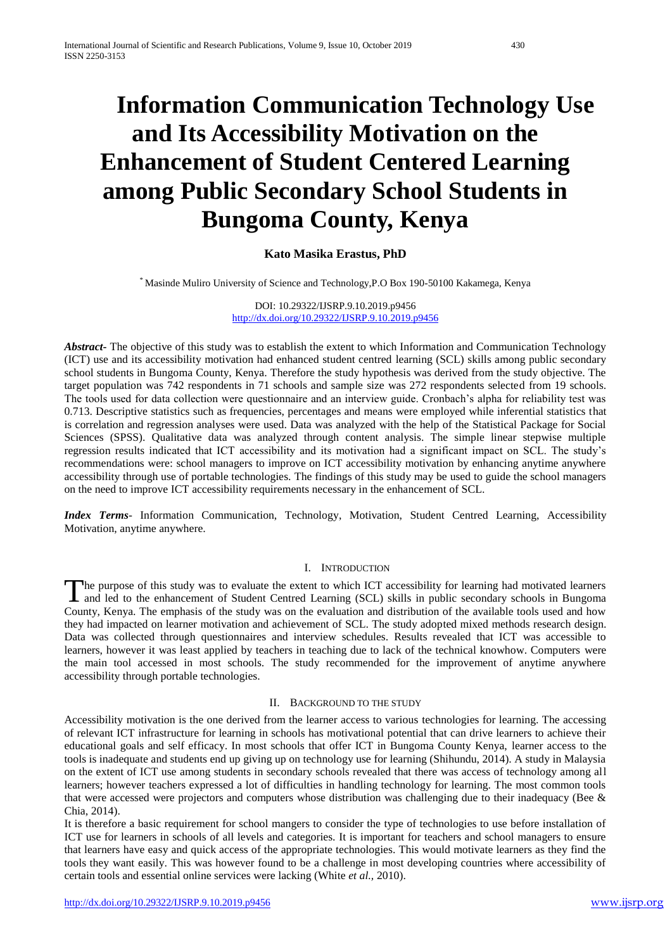# **Information Communication Technology Use and Its Accessibility Motivation on the Enhancement of Student Centered Learning among Public Secondary School Students in Bungoma County, Kenya**

# **Kato Masika Erastus, PhD**

\* Masinde Muliro University of Science and Technology,P.O Box 190-50100 Kakamega, Kenya

DOI: 10.29322/IJSRP.9.10.2019.p9456 <http://dx.doi.org/10.29322/IJSRP.9.10.2019.p9456>

*Abstract***-** The objective of this study was to establish the extent to which Information and Communication Technology (ICT) use and its accessibility motivation had enhanced student centred learning (SCL) skills among public secondary school students in Bungoma County, Kenya. Therefore the study hypothesis was derived from the study objective. The target population was 742 respondents in 71 schools and sample size was 272 respondents selected from 19 schools. The tools used for data collection were questionnaire and an interview guide. Cronbach's alpha for reliability test was 0.713. Descriptive statistics such as frequencies, percentages and means were employed while inferential statistics that is correlation and regression analyses were used. Data was analyzed with the help of the Statistical Package for Social Sciences (SPSS). Qualitative data was analyzed through content analysis. The simple linear stepwise multiple regression results indicated that ICT accessibility and its motivation had a significant impact on SCL. The study's recommendations were: school managers to improve on ICT accessibility motivation by enhancing anytime anywhere accessibility through use of portable technologies. The findings of this study may be used to guide the school managers on the need to improve ICT accessibility requirements necessary in the enhancement of SCL.

*Index Terms*- Information Communication, Technology, Motivation, Student Centred Learning, Accessibility Motivation, anytime anywhere.

## I. INTRODUCTION

he purpose of this study was to evaluate the extent to which ICT accessibility for learning had motivated learners The purpose of this study was to evaluate the extent to which ICT accessibility for learning had motivated learners and led to the enhancement of Student Centred Learning (SCL) skills in public secondary schools in Bungoma County, Kenya. The emphasis of the study was on the evaluation and distribution of the available tools used and how they had impacted on learner motivation and achievement of SCL. The study adopted mixed methods research design. Data was collected through questionnaires and interview schedules. Results revealed that ICT was accessible to learners, however it was least applied by teachers in teaching due to lack of the technical knowhow. Computers were the main tool accessed in most schools. The study recommended for the improvement of anytime anywhere accessibility through portable technologies.

#### II. BACKGROUND TO THE STUDY

Accessibility motivation is the one derived from the learner access to various technologies for learning. The accessing of relevant ICT infrastructure for learning in schools has motivational potential that can drive learners to achieve their educational goals and self efficacy. In most schools that offer ICT in Bungoma County Kenya, learner access to the tools is inadequate and students end up giving up on technology use for learning (Shihundu, 2014). A study in Malaysia on the extent of ICT use among students in secondary schools revealed that there was access of technology among all learners; however teachers expressed a lot of difficulties in handling technology for learning. The most common tools that were accessed were projectors and computers whose distribution was challenging due to their inadequacy (Bee  $\&$ Chia, 2014).

It is therefore a basic requirement for school mangers to consider the type of technologies to use before installation of ICT use for learners in schools of all levels and categories. It is important for teachers and school managers to ensure that learners have easy and quick access of the appropriate technologies. This would motivate learners as they find the tools they want easily. This was however found to be a challenge in most developing countries where accessibility of certain tools and essential online services were lacking (White *et al.,* 2010).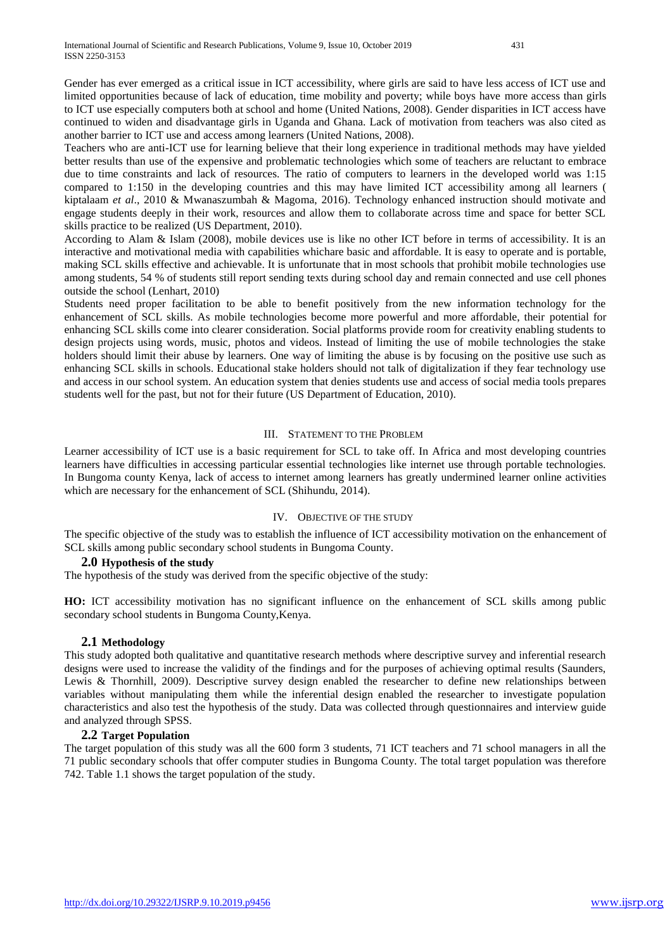Gender has ever emerged as a critical issue in ICT accessibility, where girls are said to have less access of ICT use and limited opportunities because of lack of education, time mobility and poverty; while boys have more access than girls to ICT use especially computers both at school and home (United Nations, 2008). Gender disparities in ICT access have continued to widen and disadvantage girls in Uganda and Ghana. Lack of motivation from teachers was also cited as another barrier to ICT use and access among learners (United Nations, 2008).

Teachers who are anti-ICT use for learning believe that their long experience in traditional methods may have yielded better results than use of the expensive and problematic technologies which some of teachers are reluctant to embrace due to time constraints and lack of resources. The ratio of computers to learners in the developed world was 1:15 compared to 1:150 in the developing countries and this may have limited ICT accessibility among all learners ( kiptalaam *et al*., 2010 & Mwanaszumbah & Magoma, 2016). Technology enhanced instruction should motivate and engage students deeply in their work, resources and allow them to collaborate across time and space for better SCL skills practice to be realized (US Department, 2010).

According to Alam & Islam (2008), mobile devices use is like no other ICT before in terms of accessibility. It is an interactive and motivational media with capabilities whichare basic and affordable. It is easy to operate and is portable, making SCL skills effective and achievable. It is unfortunate that in most schools that prohibit mobile technologies use among students, 54 % of students still report sending texts during school day and remain connected and use cell phones outside the school (Lenhart, 2010)

Students need proper facilitation to be able to benefit positively from the new information technology for the enhancement of SCL skills. As mobile technologies become more powerful and more affordable, their potential for enhancing SCL skills come into clearer consideration. Social platforms provide room for creativity enabling students to design projects using words, music, photos and videos. Instead of limiting the use of mobile technologies the stake holders should limit their abuse by learners. One way of limiting the abuse is by focusing on the positive use such as enhancing SCL skills in schools. Educational stake holders should not talk of digitalization if they fear technology use and access in our school system. An education system that denies students use and access of social media tools prepares students well for the past, but not for their future (US Department of Education, 2010).

#### III. STATEMENT TO THE PROBLEM

Learner accessibility of ICT use is a basic requirement for SCL to take off. In Africa and most developing countries learners have difficulties in accessing particular essential technologies like internet use through portable technologies. In Bungoma county Kenya, lack of access to internet among learners has greatly undermined learner online activities which are necessary for the enhancement of SCL (Shihundu, 2014).

## IV. OBJECTIVE OF THE STUDY

The specific objective of the study was to establish the influence of ICT accessibility motivation on the enhancement of SCL skills among public secondary school students in Bungoma County.

#### **2.0 Hypothesis of the study**

The hypothesis of the study was derived from the specific objective of the study:

**HO:** ICT accessibility motivation has no significant influence on the enhancement of SCL skills among public secondary school students in Bungoma County,Kenya.

## **2.1 Methodology**

This study adopted both qualitative and quantitative research methods where descriptive survey and inferential research designs were used to increase the validity of the findings and for the purposes of achieving optimal results (Saunders, Lewis & Thornhill, 2009). Descriptive survey design enabled the researcher to define new relationships between variables without manipulating them while the inferential design enabled the researcher to investigate population characteristics and also test the hypothesis of the study. Data was collected through questionnaires and interview guide and analyzed through SPSS.

## **2.2 Target Population**

The target population of this study was all the 600 form 3 students, 71 ICT teachers and 71 school managers in all the 71 public secondary schools that offer computer studies in Bungoma County. The total target population was therefore 742. Table 1.1 shows the target population of the study.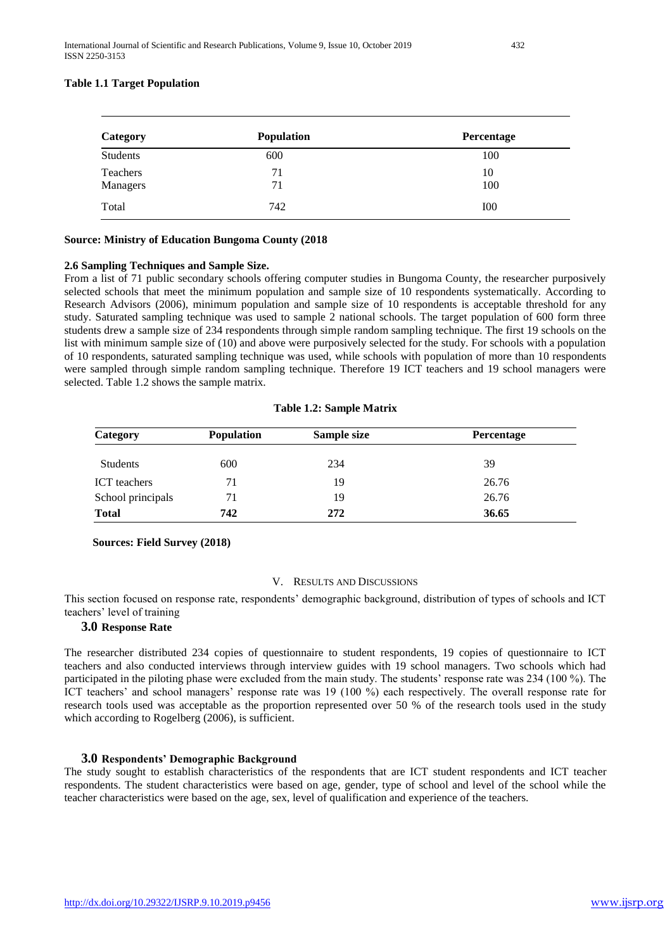## **Table 1.1 Target Population**

| Category | <b>Population</b> | Percentage |
|----------|-------------------|------------|
| Students | 600               | 100        |
| Teachers | 71                | 10         |
| Managers | 71                | 100        |
| Total    | 742               | <b>IOO</b> |

#### **Source: Ministry of Education Bungoma County (2018**

## **2.6 Sampling Techniques and Sample Size.**

From a list of 71 public secondary schools offering computer studies in Bungoma County, the researcher purposively selected schools that meet the minimum population and sample size of 10 respondents systematically. According to Research Advisors (2006), minimum population and sample size of 10 respondents is acceptable threshold for any study. Saturated sampling technique was used to sample 2 national schools. The target population of 600 form three students drew a sample size of 234 respondents through simple random sampling technique. The first 19 schools on the list with minimum sample size of (10) and above were purposively selected for the study. For schools with a population of 10 respondents, saturated sampling technique was used, while schools with population of more than 10 respondents were sampled through simple random sampling technique. Therefore 19 ICT teachers and 19 school managers were selected. Table 1.2 shows the sample matrix.

| Category            | <b>Population</b> | Sample size | Percentage |  |  |
|---------------------|-------------------|-------------|------------|--|--|
| Students            | 600               | 234         | 39         |  |  |
| <b>ICT</b> teachers | 71                | 19          | 26.76      |  |  |
| School principals   | 71                | 19          | 26.76      |  |  |
| <b>Total</b>        | 742               | 272         | 36.65      |  |  |

#### **Table 1.2: Sample Matrix**

#### **Sources: Field Survey (2018)**

#### V. RESULTS AND DISCUSSIONS

This section focused on response rate, respondents' demographic background, distribution of types of schools and ICT teachers' level of training

## **3.0 Response Rate**

The researcher distributed 234 copies of questionnaire to student respondents, 19 copies of questionnaire to ICT teachers and also conducted interviews through interview guides with 19 school managers. Two schools which had participated in the piloting phase were excluded from the main study. The students' response rate was 234 (100 %). The ICT teachers' and school managers' response rate was 19 (100 %) each respectively. The overall response rate for research tools used was acceptable as the proportion represented over 50 % of the research tools used in the study which according to Rogelberg (2006), is sufficient.

#### **3.0 Respondents' Demographic Background**

The study sought to establish characteristics of the respondents that are ICT student respondents and ICT teacher respondents. The student characteristics were based on age, gender, type of school and level of the school while the teacher characteristics were based on the age, sex, level of qualification and experience of the teachers.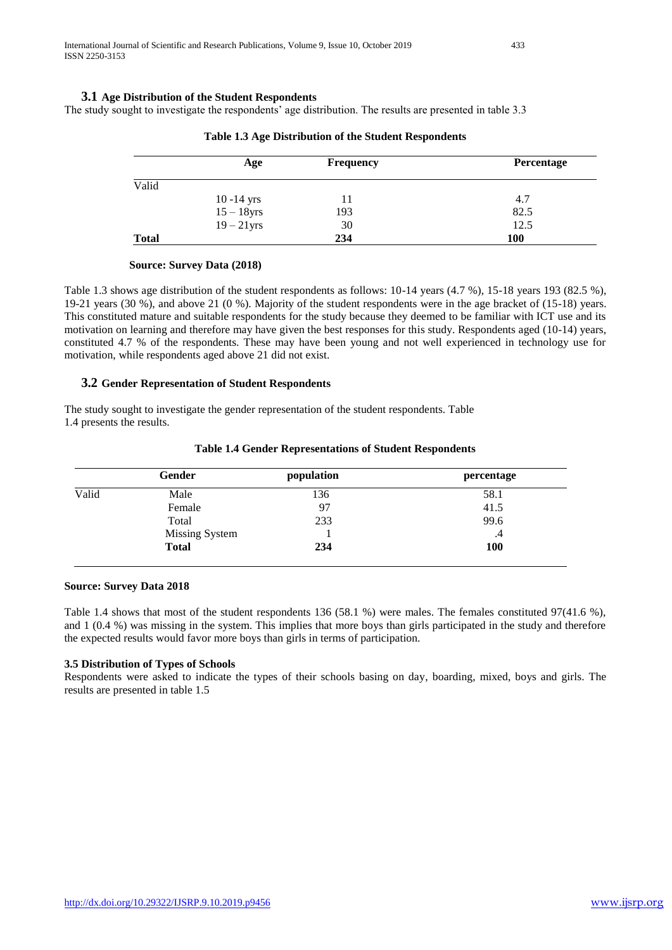## **3.1 Age Distribution of the Student Respondents**

The study sought to investigate the respondents' age distribution. The results are presented in table 3.3

|              | Age           | <b>Frequency</b> | Percentage |
|--------------|---------------|------------------|------------|
| Valid        |               |                  |            |
|              | $10 - 14$ yrs | 11               | 4.7        |
|              | $15-18$ yrs   | 193              | 82.5       |
|              | $19 - 21$ yrs | 30               | 12.5       |
| <b>Total</b> |               | 234              | <b>100</b> |

**Table 1.3 Age Distribution of the Student Respondents**

## **Source: Survey Data (2018)**

Table 1.3 shows age distribution of the student respondents as follows: 10-14 years (4.7 %), 15-18 years 193 (82.5 %), 19-21 years (30 %), and above 21 (0 %). Majority of the student respondents were in the age bracket of (15-18) years. This constituted mature and suitable respondents for the study because they deemed to be familiar with ICT use and its motivation on learning and therefore may have given the best responses for this study. Respondents aged (10-14) years, constituted 4.7 % of the respondents. These may have been young and not well experienced in technology use for motivation, while respondents aged above 21 did not exist.

#### **3.2 Gender Representation of Student Respondents**

The study sought to investigate the gender representation of the student respondents. Table 1.4 presents the results.

|       | Gender                | population | percentage |
|-------|-----------------------|------------|------------|
| Valid | Male                  | 136        | 58.1       |
|       | Female                | 97         | 41.5       |
|       | Total                 | 233        | 99.6       |
|       | <b>Missing System</b> |            | $\cdot$ 4  |
|       | <b>Total</b>          | 234        | <b>100</b> |

#### **Table 1.4 Gender Representations of Student Respondents**

## **Source: Survey Data 2018**

Table 1.4 shows that most of the student respondents 136 (58.1 %) were males. The females constituted 97(41.6 %), and 1 (0.4 %) was missing in the system. This implies that more boys than girls participated in the study and therefore the expected results would favor more boys than girls in terms of participation.

#### **3.5 Distribution of Types of Schools**

Respondents were asked to indicate the types of their schools basing on day, boarding, mixed, boys and girls. The results are presented in table 1.5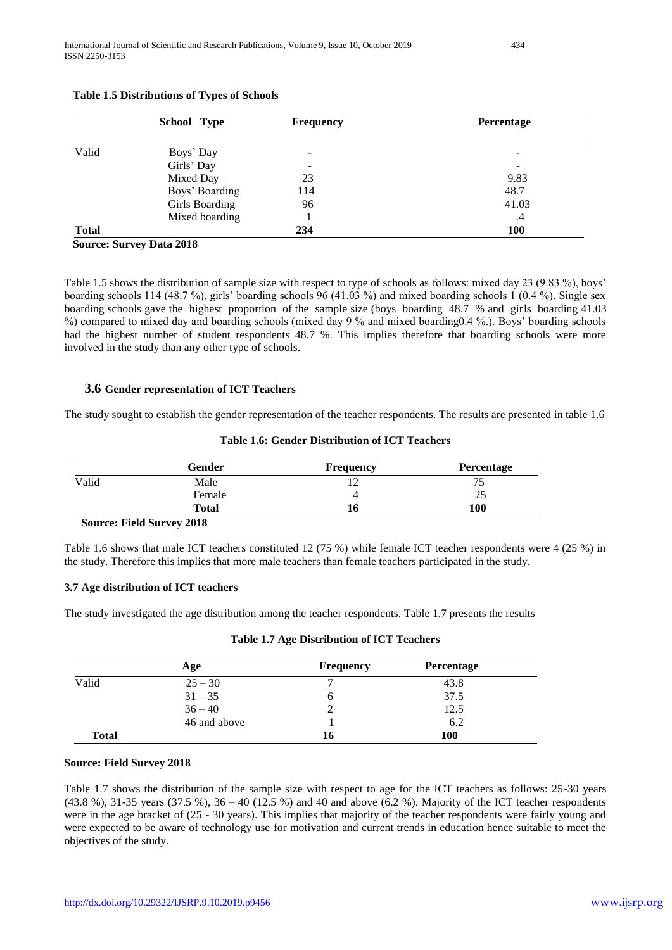|              | School Type                        | <b>Frequency</b>         | Percentage |
|--------------|------------------------------------|--------------------------|------------|
| Valid        | Boys' Day                          | $\overline{\phantom{a}}$ |            |
|              | Girls' Day                         | $\overline{\phantom{a}}$ | -          |
|              | Mixed Day                          | 23                       | 9.83       |
|              | Boys' Boarding                     | 114                      | 48.7       |
|              | Girls Boarding                     | 96                       | 41.03      |
|              | Mixed boarding                     |                          | .4         |
| <b>Total</b> |                                    | 234                      | <b>100</b> |
|              | $0, \ldots, 0, \ldots, n, 4, 2010$ |                          |            |

## **Table 1.5 Distributions of Types of Schools**

# **Source: Survey Data 2018**

Table 1.5 shows the distribution of sample size with respect to type of schools as follows: mixed day 23 (9.83 %), boys' boarding schools 114 (48.7 %), girls' boarding schools 96 (41.03 %) and mixed boarding schools 1 (0.4 %). Single sex boarding schools gave the highest proportion of the sample size (boys boarding 48.7 % and girls boarding 41.03 %) compared to mixed day and boarding schools (mixed day 9 % and mixed boarding0.4 %.). Boys' boarding schools had the highest number of student respondents 48.7 %. This implies therefore that boarding schools were more involved in the study than any other type of schools.

## **3.6 Gender representation of ICT Teachers**

The study sought to establish the gender representation of the teacher respondents. The results are presented in table 1.6

|       | <b>Gender</b> | <b>Frequency</b> | Percentage |
|-------|---------------|------------------|------------|
| Valid | Male          |                  | ◡          |
|       | Female        |                  | 25         |
|       | <b>Total</b>  | 10               | 100        |

## **Table 1.6: Gender Distribution of ICT Teachers**

#### **Source: Field Survey 2018**

Table 1.6 shows that male ICT teachers constituted 12 (75 %) while female ICT teacher respondents were 4 (25 %) in the study. Therefore this implies that more male teachers than female teachers participated in the study.

## **3.7 Age distribution of ICT teachers**

The study investigated the age distribution among the teacher respondents. Table 1.7 presents the results

|              | Age          | <b>Frequency</b> | <b>Percentage</b> |
|--------------|--------------|------------------|-------------------|
| Valid        | $25 - 30$    |                  | 43.8              |
|              | $31 - 35$    |                  | 37.5              |
|              | $36 - 40$    |                  | 12.5              |
|              | 46 and above |                  | 6.2               |
| <b>Total</b> |              | 16               | 100               |

## **Table 1.7 Age Distribution of ICT Teachers**

#### **Source: Field Survey 2018**

Table 1.7 shows the distribution of the sample size with respect to age for the ICT teachers as follows: 25-30 years (43.8 %), 31-35 years (37.5 %), 36 – 40 (12.5 %) and 40 and above (6.2 %). Majority of the ICT teacher respondents were in the age bracket of (25 - 30 years). This implies that majority of the teacher respondents were fairly young and were expected to be aware of technology use for motivation and current trends in education hence suitable to meet the objectives of the study.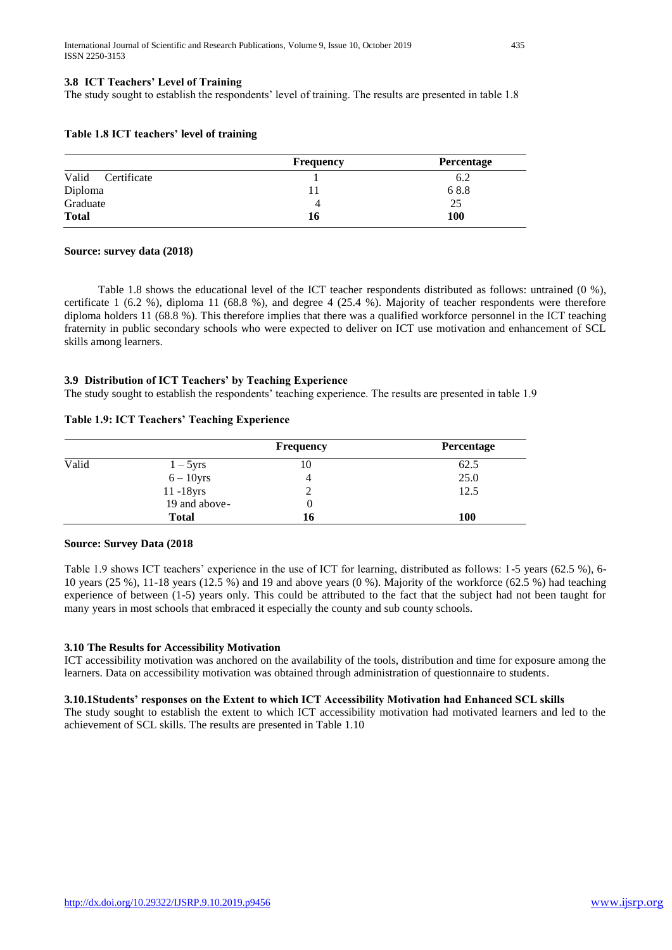## **3.8 ICT Teachers' Level of Training**

The study sought to establish the respondents' level of training. The results are presented in table 1.8

|                      | <b>Frequency</b> | <b>Percentage</b> |
|----------------------|------------------|-------------------|
| Valid<br>Certificate |                  | 6.2               |
| Diploma              |                  | 68.8              |
| Graduate             |                  | 25                |
| <b>Total</b>         | 16               | 100               |

## **Table 1.8 ICT teachers' level of training**

#### **Source: survey data (2018)**

 Table 1.8 shows the educational level of the ICT teacher respondents distributed as follows: untrained (0 %), certificate 1 (6.2 %), diploma 11 (68.8 %), and degree 4 (25.4 %). Majority of teacher respondents were therefore diploma holders 11 (68.8 %). This therefore implies that there was a qualified workforce personnel in the ICT teaching fraternity in public secondary schools who were expected to deliver on ICT use motivation and enhancement of SCL skills among learners.

## **3.9 Distribution of ICT Teachers' by Teaching Experience**

The study sought to establish the respondents' teaching experience. The results are presented in table 1.9

## **Table 1.9: ICT Teachers' Teaching Experience**

|       |               | Frequency | Percentage |
|-------|---------------|-----------|------------|
| Valid | $1-5$ yrs     | $10^{-1}$ | 62.5       |
|       | $6 - 10$ yrs  | 4         | 25.0       |
|       | $11 - 18$ yrs |           | 12.5       |
|       | 19 and above- |           |            |
|       | <b>Total</b>  | 16        | 100        |

#### **Source: Survey Data (2018**

Table 1.9 shows ICT teachers' experience in the use of ICT for learning, distributed as follows: 1-5 years (62.5 %), 6- 10 years (25 %), 11-18 years (12.5 %) and 19 and above years (0 %). Majority of the workforce (62.5 %) had teaching experience of between (1-5) years only. This could be attributed to the fact that the subject had not been taught for many years in most schools that embraced it especially the county and sub county schools.

## **3.10 The Results for Accessibility Motivation**

ICT accessibility motivation was anchored on the availability of the tools, distribution and time for exposure among the learners. Data on accessibility motivation was obtained through administration of questionnaire to students.

## **3.10.1Students' responses on the Extent to which ICT Accessibility Motivation had Enhanced SCL skills**

The study sought to establish the extent to which ICT accessibility motivation had motivated learners and led to the achievement of SCL skills. The results are presented in Table 1.10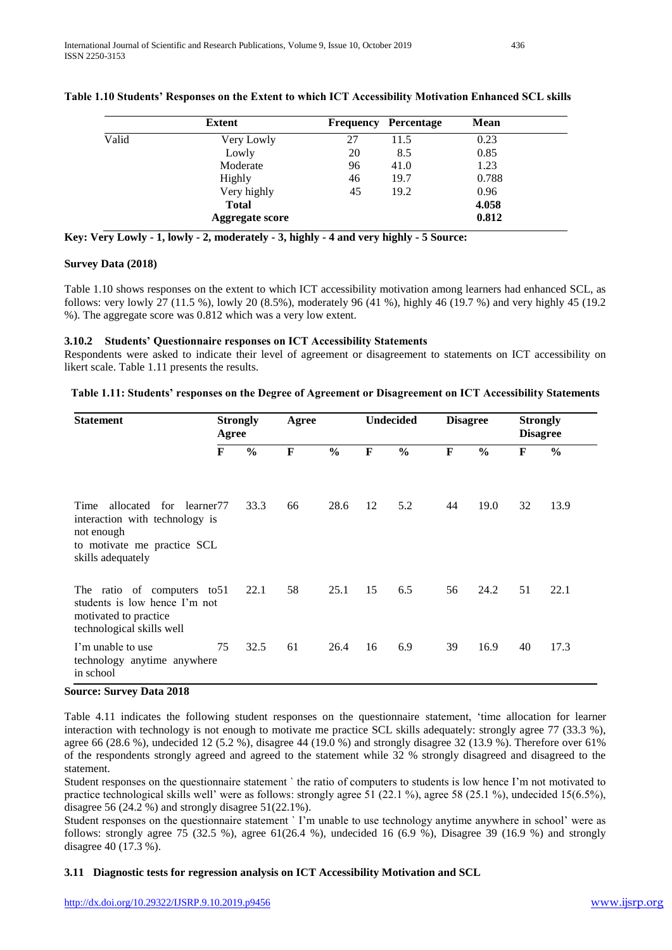|       | <b>Extent</b>   |    | <b>Frequency Percentage</b> | Mean  |
|-------|-----------------|----|-----------------------------|-------|
| Valid | Very Lowly      | 27 | 11.5                        | 0.23  |
|       | Lowly           | 20 | 8.5                         | 0.85  |
|       | Moderate        | 96 | 41.0                        | 1.23  |
|       | Highly          | 46 | 19.7                        | 0.788 |
|       | Very highly     | 45 | 19.2                        | 0.96  |
|       | <b>Total</b>    |    |                             | 4.058 |
|       | Aggregate score |    |                             | 0.812 |

## **Table 1.10 Students' Responses on the Extent to which ICT Accessibility Motivation Enhanced SCL skills**

|  |  |  |  |  | Key: Very Lowly - 1, lowly - 2, moderately - 3, highly - 4 and very highly - 5 Source: |  |  |  |  |
|--|--|--|--|--|----------------------------------------------------------------------------------------|--|--|--|--|
|--|--|--|--|--|----------------------------------------------------------------------------------------|--|--|--|--|

## **Survey Data (2018)**

Table 1.10 shows responses on the extent to which ICT accessibility motivation among learners had enhanced SCL, as follows: very lowly 27 (11.5 %), lowly 20 (8.5%), moderately 96 (41 %), highly 46 (19.7 %) and very highly 45 (19.2 %). The aggregate score was 0.812 which was a very low extent.

## **3.10.2 Students' Questionnaire responses on ICT Accessibility Statements**

Respondents were asked to indicate their level of agreement or disagreement to statements on ICT accessibility on likert scale. Table 1.11 presents the results.

## **Table 1.11: Students' responses on the Degree of Agreement or Disagreement on ICT Accessibility Statements**

| <b>Statement</b>                                                                                                                     |              | <b>Strongly</b><br>Agree<br>Agree |              | <b>Undecided</b> |    | <b>Disagree</b> |    | <b>Strongly</b><br><b>Disagree</b> |    |               |
|--------------------------------------------------------------------------------------------------------------------------------------|--------------|-----------------------------------|--------------|------------------|----|-----------------|----|------------------------------------|----|---------------|
|                                                                                                                                      | $\mathbf{F}$ | $\frac{0}{0}$                     | $\mathbf{F}$ | $\frac{0}{0}$    | F  | $\frac{0}{0}$   | F  | $\frac{0}{0}$                      | F  | $\frac{6}{9}$ |
| allocated for learner 77<br>Time<br>interaction with technology is<br>not enough<br>to motivate me practice SCL<br>skills adequately |              | 33.3                              | 66           | 28.6             | 12 | 5.2             | 44 | 19.0                               | 32 | 13.9          |
| The ratio of computers to 51<br>students is low hence I'm not<br>motivated to practice<br>technological skills well                  |              | 22.1                              | 58           | 25.1             | 15 | 6.5             | 56 | 24.2                               | 51 | 22.1          |
| I'm unable to use<br>technology anytime anywhere<br>in school                                                                        | 75           | 32.5                              | 61           | 26.4             | 16 | 6.9             | 39 | 16.9                               | 40 | 17.3          |

#### **Source: Survey Data 2018**

Table 4.11 indicates the following student responses on the questionnaire statement, 'time allocation for learner interaction with technology is not enough to motivate me practice SCL skills adequately: strongly agree 77 (33.3 %), agree 66 (28.6 %), undecided 12 (5.2 %), disagree 44 (19.0 %) and strongly disagree 32 (13.9 %). Therefore over 61% of the respondents strongly agreed and agreed to the statement while 32 % strongly disagreed and disagreed to the statement.

Student responses on the questionnaire statement ` the ratio of computers to students is low hence I'm not motivated to practice technological skills well' were as follows: strongly agree 51 (22.1 %), agree 58 (25.1 %), undecided 15(6.5%), disagree 56 (24.2 %) and strongly disagree  $51(22.1\%)$ .

Student responses on the questionnaire statement ` I'm unable to use technology anytime anywhere in school' were as follows: strongly agree 75 (32.5 %), agree  $61(26.4 \%)$ , undecided 16 (6.9 %), Disagree 39 (16.9 %) and strongly disagree 40 (17.3 %).

#### **3.11 Diagnostic tests for regression analysis on ICT Accessibility Motivation and SCL**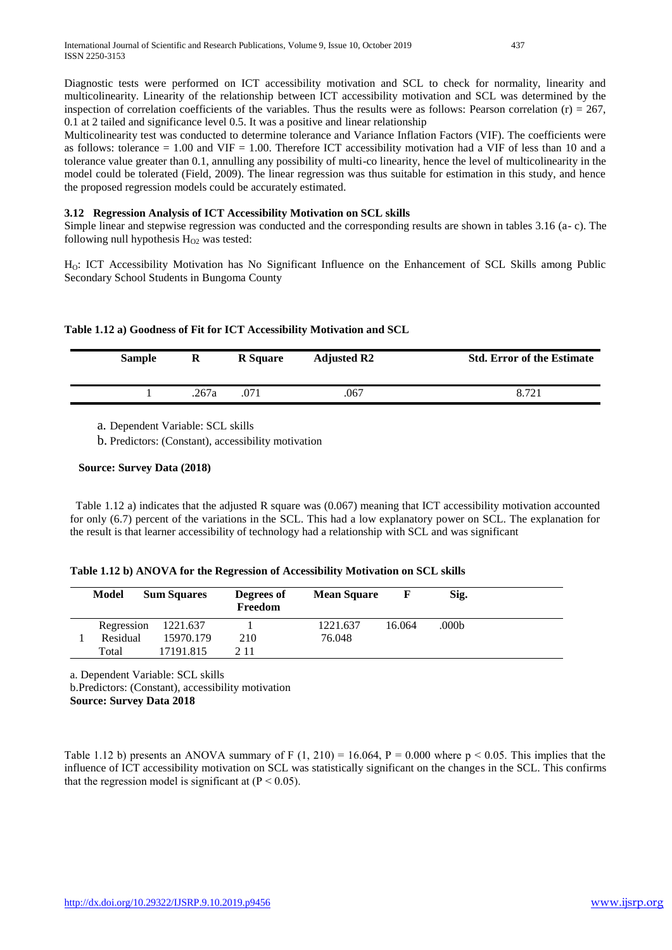Diagnostic tests were performed on ICT accessibility motivation and SCL to check for normality, linearity and multicolinearity. Linearity of the relationship between ICT accessibility motivation and SCL was determined by the inspection of correlation coefficients of the variables. Thus the results were as follows: Pearson correlation (r) =  $267$ , 0.1 at 2 tailed and significance level 0.5. It was a positive and linear relationship

Multicolinearity test was conducted to determine tolerance and Variance Inflation Factors (VIF). The coefficients were as follows: tolerance  $= 1.00$  and VIF  $= 1.00$ . Therefore ICT accessibility motivation had a VIF of less than 10 and a tolerance value greater than 0.1, annulling any possibility of multi-co linearity, hence the level of multicolinearity in the model could be tolerated (Field, 2009). The linear regression was thus suitable for estimation in this study, and hence the proposed regression models could be accurately estimated.

# **3.12 Regression Analysis of ICT Accessibility Motivation on SCL skills**

Simple linear and stepwise regression was conducted and the corresponding results are shown in tables 3.16 (a- c). The following null hypothesis  $H<sub>O2</sub>$  was tested:

H<sub>O</sub>: ICT Accessibility Motivation has No Significant Influence on the Enhancement of SCL Skills among Public Secondary School Students in Bungoma County

|  |  | Table 1.12 a) Goodness of Fit for ICT Accessibility Motivation and SCL |  |
|--|--|------------------------------------------------------------------------|--|
|  |  |                                                                        |  |

| <b>Sample</b> | $\bf R$ | <b>R</b> Square | <b>Adjusted R2</b> | <b>Std. Error of the Estimate</b> |
|---------------|---------|-----------------|--------------------|-----------------------------------|
|               | 267a    |                 | .067               | 8.721                             |

a. Dependent Variable: SCL skills

b. Predictors: (Constant), accessibility motivation

## **Source: Survey Data (2018)**

 Table 1.12 a) indicates that the adjusted R square was (0.067) meaning that ICT accessibility motivation accounted for only (6.7) percent of the variations in the SCL. This had a low explanatory power on SCL. The explanation for the result is that learner accessibility of technology had a relationship with SCL and was significant

|  | Table 1.12 b) ANOVA for the Regression of Accessibility Motivation on SCL skills |  |
|--|----------------------------------------------------------------------------------|--|
|  |                                                                                  |  |

| Model      | <b>Sum Squares</b> | Degrees of<br>Freedom | <b>Mean Square</b> |        | Sig.  |
|------------|--------------------|-----------------------|--------------------|--------|-------|
| Regression | 1221.637           |                       | 1221.637           | 16.064 | .000b |
| Residual   | 15970.179          | 210                   | 76.048             |        |       |
| Total      | 17191.815          | 2 1 1                 |                    |        |       |

a. Dependent Variable: SCL skills

b.Predictors: (Constant), accessibility motivation

**Source: Survey Data 2018**

Table 1.12 b) presents an ANOVA summary of F  $(1, 210) = 16.064$ , P = 0.000 where p < 0.05. This implies that the influence of ICT accessibility motivation on SCL was statistically significant on the changes in the SCL. This confirms that the regression model is significant at  $(P < 0.05)$ .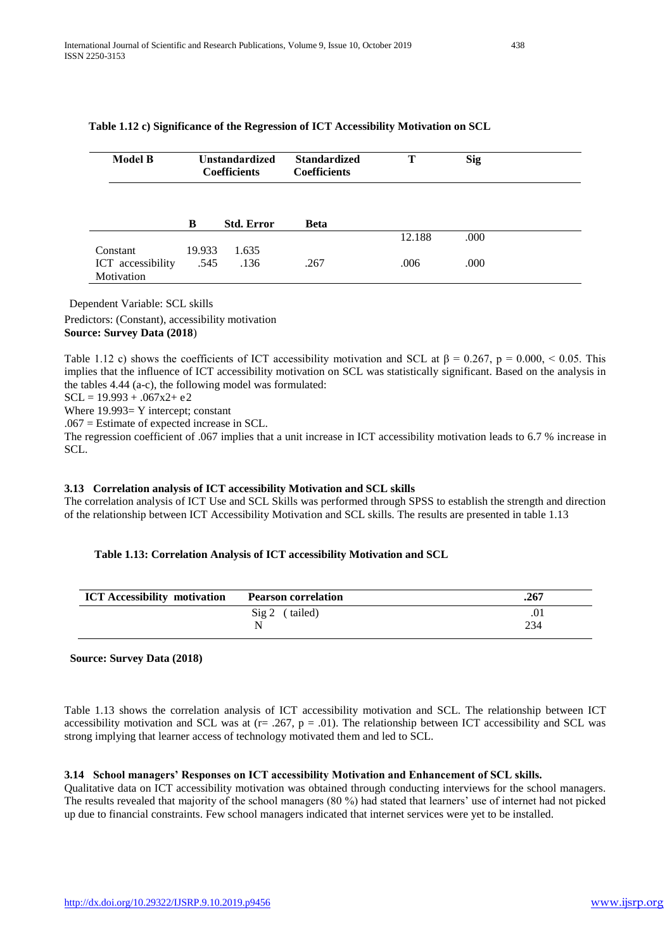| <b>Model B</b>    |        | <b>Unstandardized</b><br><b>Coefficients</b> | <b>Standardized</b><br><b>Coefficients</b> | Т      | <b>Sig</b> |  |
|-------------------|--------|----------------------------------------------|--------------------------------------------|--------|------------|--|
|                   |        |                                              |                                            |        |            |  |
|                   | B      | <b>Std. Error</b>                            | <b>Beta</b>                                |        |            |  |
|                   |        |                                              |                                            | 12.188 | .000       |  |
| Constant          | 19.933 | 1.635                                        |                                            |        |            |  |
| ICT accessibility | .545   | .136                                         | .267                                       | .006   | .000       |  |
| Motivation        |        |                                              |                                            |        |            |  |

#### **Table 1.12 c) Significance of the Regression of ICT Accessibility Motivation on SCL**

Dependent Variable: SCL skills

Predictors: (Constant), accessibility motivation **Source: Survey Data (2018**)

Table 1.12 c) shows the coefficients of ICT accessibility motivation and SCL at  $\beta = 0.267$ , p = 0.000, < 0.05. This implies that the influence of ICT accessibility motivation on SCL was statistically significant. Based on the analysis in the tables 4.44 (a-c), the following model was formulated:

 $SCL = 19.993 + .067x2 + e2$ 

Where  $19.993 = Y$  intercept; constant

.067 = Estimate of expected increase in SCL.

The regression coefficient of .067 implies that a unit increase in ICT accessibility motivation leads to 6.7 % increase in SCL.

## **3.13 Correlation analysis of ICT accessibility Motivation and SCL skills**

The correlation analysis of ICT Use and SCL Skills was performed through SPSS to establish the strength and direction of the relationship between ICT Accessibility Motivation and SCL skills. The results are presented in table 1.13

#### **Table 1.13: Correlation Analysis of ICT accessibility Motivation and SCL**

| <b>ICT</b> Accessibility motivation | <b>Pearson correlation</b> | .267 |
|-------------------------------------|----------------------------|------|
|                                     | Sig 2 (tailed)             | .01  |
|                                     |                            | 234  |

## **Source: Survey Data (2018)**

Table 1.13 shows the correlation analysis of ICT accessibility motivation and SCL. The relationship between ICT accessibility motivation and SCL was at ( $r=$  .267,  $p = .01$ ). The relationship between ICT accessibility and SCL was strong implying that learner access of technology motivated them and led to SCL.

## **3.14 School managers' Responses on ICT accessibility Motivation and Enhancement of SCL skills.**

Qualitative data on ICT accessibility motivation was obtained through conducting interviews for the school managers. The results revealed that majority of the school managers (80 %) had stated that learners' use of internet had not picked up due to financial constraints. Few school managers indicated that internet services were yet to be installed.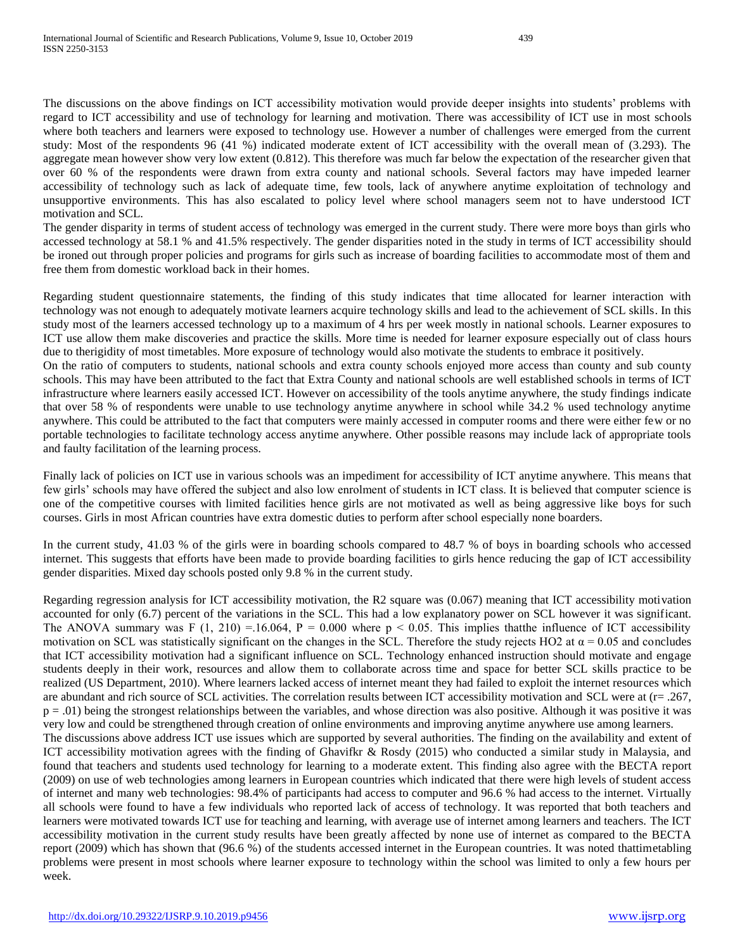The discussions on the above findings on ICT accessibility motivation would provide deeper insights into students' problems with regard to ICT accessibility and use of technology for learning and motivation. There was accessibility of ICT use in most schools where both teachers and learners were exposed to technology use. However a number of challenges were emerged from the current study: Most of the respondents 96 (41 %) indicated moderate extent of ICT accessibility with the overall mean of (3.293). The aggregate mean however show very low extent (0.812). This therefore was much far below the expectation of the researcher given that over 60 % of the respondents were drawn from extra county and national schools. Several factors may have impeded learner accessibility of technology such as lack of adequate time, few tools, lack of anywhere anytime exploitation of technology and unsupportive environments. This has also escalated to policy level where school managers seem not to have understood ICT motivation and SCL.

The gender disparity in terms of student access of technology was emerged in the current study. There were more boys than girls who accessed technology at 58.1 % and 41.5% respectively. The gender disparities noted in the study in terms of ICT accessibility should be ironed out through proper policies and programs for girls such as increase of boarding facilities to accommodate most of them and free them from domestic workload back in their homes.

Regarding student questionnaire statements, the finding of this study indicates that time allocated for learner interaction with technology was not enough to adequately motivate learners acquire technology skills and lead to the achievement of SCL skills. In this study most of the learners accessed technology up to a maximum of 4 hrs per week mostly in national schools. Learner exposures to ICT use allow them make discoveries and practice the skills. More time is needed for learner exposure especially out of class hours due to therigidity of most timetables. More exposure of technology would also motivate the students to embrace it positively. On the ratio of computers to students, national schools and extra county schools enjoyed more access than county and sub county schools. This may have been attributed to the fact that Extra County and national schools are well established schools in terms of ICT infrastructure where learners easily accessed ICT. However on accessibility of the tools anytime anywhere, the study findings indicate that over 58 % of respondents were unable to use technology anytime anywhere in school while 34.2 % used technology anytime

anywhere. This could be attributed to the fact that computers were mainly accessed in computer rooms and there were either few or no portable technologies to facilitate technology access anytime anywhere. Other possible reasons may include lack of appropriate tools and faulty facilitation of the learning process.

Finally lack of policies on ICT use in various schools was an impediment for accessibility of ICT anytime anywhere. This means that few girls' schools may have offered the subject and also low enrolment of students in ICT class. It is believed that computer science is one of the competitive courses with limited facilities hence girls are not motivated as well as being aggressive like boys for such courses. Girls in most African countries have extra domestic duties to perform after school especially none boarders.

In the current study, 41.03 % of the girls were in boarding schools compared to 48.7 % of boys in boarding schools who accessed internet. This suggests that efforts have been made to provide boarding facilities to girls hence reducing the gap of ICT accessibility gender disparities. Mixed day schools posted only 9.8 % in the current study.

Regarding regression analysis for ICT accessibility motivation, the R2 square was (0.067) meaning that ICT accessibility motivation accounted for only (6.7) percent of the variations in the SCL. This had a low explanatory power on SCL however it was significant. The ANOVA summary was F (1, 210) = 16.064, P = 0.000 where  $p < 0.05$ . This implies that the influence of ICT accessibility motivation on SCL was statistically significant on the changes in the SCL. Therefore the study rejects HO2 at  $\alpha$  = 0.05 and concludes that ICT accessibility motivation had a significant influence on SCL. Technology enhanced instruction should motivate and engage students deeply in their work, resources and allow them to collaborate across time and space for better SCL skills practice to be realized (US Department, 2010). Where learners lacked access of internet meant they had failed to exploit the internet resources which are abundant and rich source of SCL activities. The correlation results between ICT accessibility motivation and SCL were at (r= .267, p = .01) being the strongest relationships between the variables, and whose direction was also positive. Although it was positive it was very low and could be strengthened through creation of online environments and improving anytime anywhere use among learners. The discussions above address ICT use issues which are supported by several authorities. The finding on the availability and extent of ICT accessibility motivation agrees with the finding of Ghavifkr & Rosdy (2015) who conducted a similar study in Malaysia, and found that teachers and students used technology for learning to a moderate extent. This finding also agree with the BECTA report (2009) on use of web technologies among learners in European countries which indicated that there were high levels of student access of internet and many web technologies: 98.4% of participants had access to computer and 96.6 % had access to the internet. Virtually all schools were found to have a few individuals who reported lack of access of technology. It was reported that both teachers and learners were motivated towards ICT use for teaching and learning, with average use of internet among learners and teachers. The ICT accessibility motivation in the current study results have been greatly affected by none use of internet as compared to the BECTA report (2009) which has shown that (96.6 %) of the students accessed internet in the European countries. It was noted thattimetabling problems were present in most schools where learner exposure to technology within the school was limited to only a few hours per week.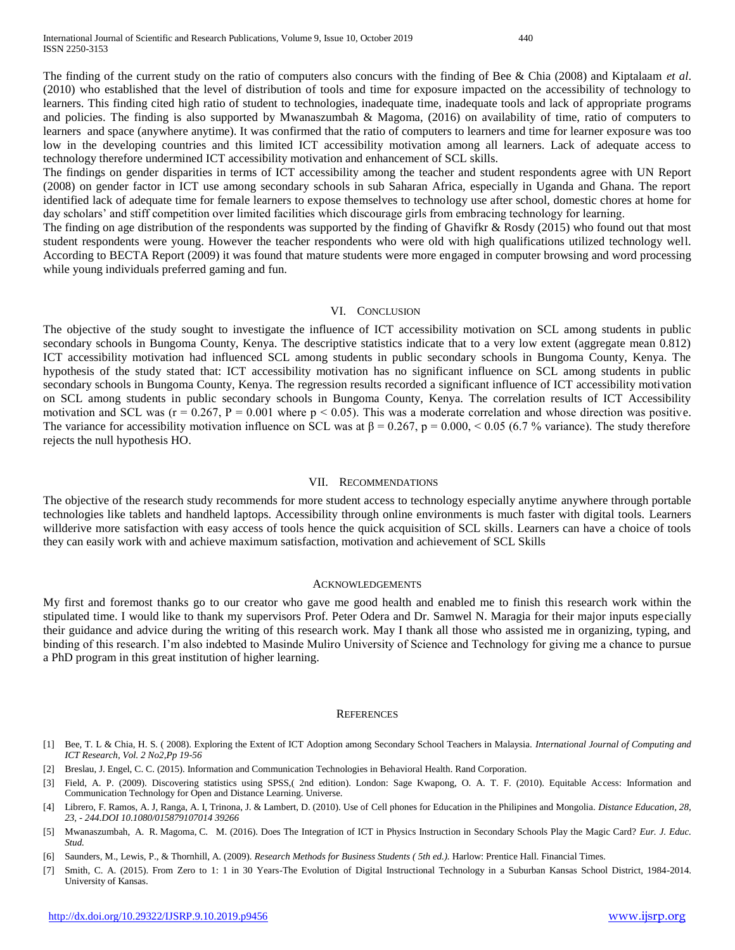The finding of the current study on the ratio of computers also concurs with the finding of Bee & Chia (2008) and Kiptalaam *et al*. (2010) who established that the level of distribution of tools and time for exposure impacted on the accessibility of technology to learners. This finding cited high ratio of student to technologies, inadequate time, inadequate tools and lack of appropriate programs and policies. The finding is also supported by Mwanaszumbah & Magoma, (2016) on availability of time, ratio of computers to learners and space (anywhere anytime). It was confirmed that the ratio of computers to learners and time for learner exposure was too low in the developing countries and this limited ICT accessibility motivation among all learners. Lack of adequate access to technology therefore undermined ICT accessibility motivation and enhancement of SCL skills.

The findings on gender disparities in terms of ICT accessibility among the teacher and student respondents agree with UN Report (2008) on gender factor in ICT use among secondary schools in sub Saharan Africa, especially in Uganda and Ghana. The report identified lack of adequate time for female learners to expose themselves to technology use after school, domestic chores at home for day scholars' and stiff competition over limited facilities which discourage girls from embracing technology for learning.

The finding on age distribution of the respondents was supported by the finding of Ghavifkr & Rosdy (2015) who found out that most student respondents were young. However the teacher respondents who were old with high qualifications utilized technology well. According to BECTA Report (2009) it was found that mature students were more engaged in computer browsing and word processing while young individuals preferred gaming and fun.

#### VI. CONCLUSION

The objective of the study sought to investigate the influence of ICT accessibility motivation on SCL among students in public secondary schools in Bungoma County, Kenya. The descriptive statistics indicate that to a very low extent (aggregate mean 0.812) ICT accessibility motivation had influenced SCL among students in public secondary schools in Bungoma County, Kenya. The hypothesis of the study stated that: ICT accessibility motivation has no significant influence on SCL among students in public secondary schools in Bungoma County, Kenya. The regression results recorded a significant influence of ICT accessibility motivation on SCL among students in public secondary schools in Bungoma County, Kenya. The correlation results of ICT Accessibility motivation and SCL was ( $r = 0.267$ ,  $P = 0.001$  where  $p < 0.05$ ). This was a moderate correlation and whose direction was positive. The variance for accessibility motivation influence on SCL was at  $\beta = 0.267$ , p = 0.000, < 0.05 (6.7 % variance). The study therefore rejects the null hypothesis HO.

#### VII. RECOMMENDATIONS

The objective of the research study recommends for more student access to technology especially anytime anywhere through portable technologies like tablets and handheld laptops. Accessibility through online environments is much faster with digital tools. Learners willderive more satisfaction with easy access of tools hence the quick acquisition of SCL skills. Learners can have a choice of tools they can easily work with and achieve maximum satisfaction, motivation and achievement of SCL Skills

#### ACKNOWLEDGEMENTS

My first and foremost thanks go to our creator who gave me good health and enabled me to finish this research work within the stipulated time. I would like to thank my supervisors Prof. Peter Odera and Dr. Samwel N. Maragia for their major inputs especially their guidance and advice during the writing of this research work. May I thank all those who assisted me in organizing, typing, and binding of this research. I'm also indebted to Masinde Muliro University of Science and Technology for giving me a chance to pursue a PhD program in this great institution of higher learning.

#### **REFERENCES**

- [1] Bee, T. L & Chia, H. S. ( 2008). Exploring the Extent of ICT Adoption among Secondary School Teachers in Malaysia. *International Journal of Computing and ICT Research, Vol. 2 No2,Pp 19-56*
- [2] Breslau, J. Engel, C. C. (2015). Information and Communication Technologies in Behavioral Health. Rand Corporation.
- [3] Field, A. P. (2009). Discovering statistics using SPSS,( 2nd edition). London: Sage Kwapong, O. A. T. F. (2010). Equitable Access: Information and Communication Technology for Open and Distance Learning. Universe.
- [4] Librero, F. Ramos, A. J, Ranga, A. I, Trinona, J. & Lambert, D. (2010). Use of Cell phones for Education in the Philipines and Mongolia. *Distance Education, 28, 23, - 244.DOI 10.1080/015879107014 39266*
- [5] Mwanaszumbah, A. R. Magoma, C. M. (2016). Does The Integration of ICT in Physics Instruction in Secondary Schools Play the Magic Card? *Eur. J. Educ. Stud.*
- [6] Saunders, M., Lewis, P., & Thornhill, A. (2009). *Research Methods for Business Students ( 5th ed.).* Harlow: Prentice Hall. Financial Times.
- [7] Smith, C. A. (2015). From Zero to 1: 1 in 30 Years-The Evolution of Digital Instructional Technology in a Suburban Kansas School District, 1984-2014. University of Kansas.